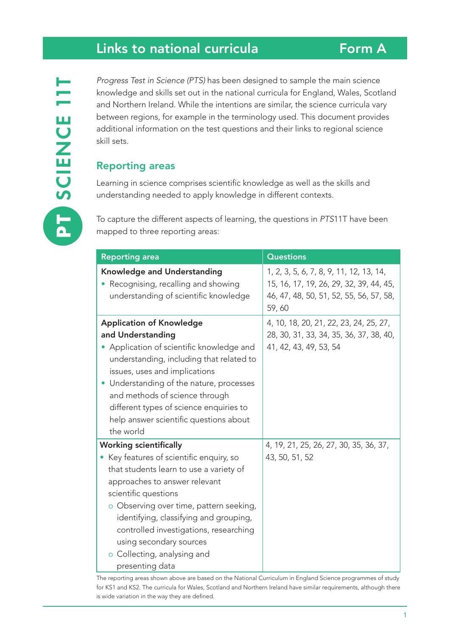# Links to national curricula

*Progress Test in Science (PTS)* has been designed to sample the main science knowledge and skills set out in the national curricula for England, Wales, Scotland and Northern Ireland. While the intentions are similar, the science curricula vary between regions, for example in the terminology used. This document provides additional information on the test questions and their links to regional science skill sets.

# Reporting areas

Learning in science comprises scientific knowledge as well as the skills and understanding needed to apply knowledge in different contexts.

To capture the different aspects of learning, the questions in *PTS*11T have been mapped to three reporting areas:

| <b>Reporting area</b>                                                                                                                                                                                                                                                                                                                                                                     | <b>Questions</b>                                                                                                                       |
|-------------------------------------------------------------------------------------------------------------------------------------------------------------------------------------------------------------------------------------------------------------------------------------------------------------------------------------------------------------------------------------------|----------------------------------------------------------------------------------------------------------------------------------------|
| <b>Knowledge and Understanding</b><br>Recognising, recalling and showing<br>understanding of scientific knowledge                                                                                                                                                                                                                                                                         | 1, 2, 3, 5, 6, 7, 8, 9, 11, 12, 13, 14,<br>15, 16, 17, 19, 26, 29, 32, 39, 44, 45,<br>46, 47, 48, 50, 51, 52, 55, 56, 57, 58,<br>59,60 |
| <b>Application of Knowledge</b><br>and Understanding<br>• Application of scientific knowledge and<br>understanding, including that related to<br>issues, uses and implications<br>• Understanding of the nature, processes<br>and methods of science through<br>different types of science enquiries to<br>help answer scientific questions about<br>the world                            | 4, 10, 18, 20, 21, 22, 23, 24, 25, 27,<br>28, 30, 31, 33, 34, 35, 36, 37, 38, 40,<br>41, 42, 43, 49, 53, 54                            |
| <b>Working scientifically</b><br>• Key features of scientific enquiry, so<br>that students learn to use a variety of<br>approaches to answer relevant<br>scientific questions<br>o Observing over time, pattern seeking,<br>identifying, classifying and grouping,<br>controlled investigations, researching<br>using secondary sources<br>o Collecting, analysing and<br>presenting data | 4, 19, 21, 25, 26, 27, 30, 35, 36, 37,<br>43, 50, 51, 52                                                                               |

The reporting areas shown above are based on the National Curriculum in England Science programmes of study for KS1 and KS2. The curricula for Wales, Scotland and Northern Ireland have similar requirements, although there is wide variation in the way they are defined.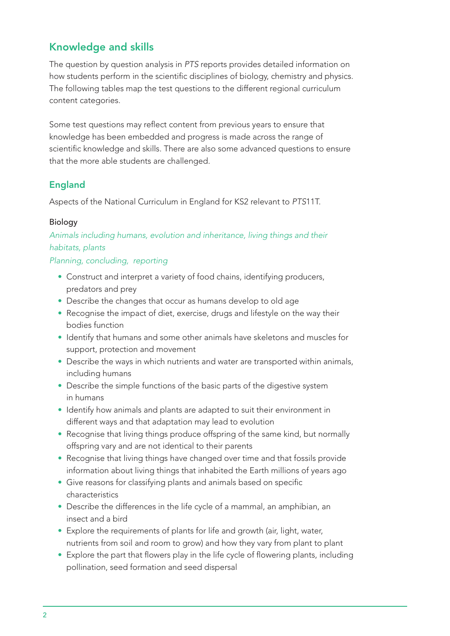# Knowledge and skills

The question by question analysis in *PTS* reports provides detailed information on how students perform in the scientific disciplines of biology, chemistry and physics. The following tables map the test questions to the different regional curriculum content categories.

Some test questions may reflect content from previous years to ensure that knowledge has been embedded and progress is made across the range of scientific knowledge and skills. There are also some advanced questions to ensure that the more able students are challenged.

# England

Aspects of the National Curriculum in England for KS2 relevant to *PTS*11T.

## Biology

*Animals including humans, evolution and inheritance, living things and their habitats, plants*

*Planning, concluding, reporting*

- Construct and interpret a variety of food chains, identifying producers, predators and prey
- Describe the changes that occur as humans develop to old age
- Recognise the impact of diet, exercise, drugs and lifestyle on the way their bodies function
- Identify that humans and some other animals have skeletons and muscles for support, protection and movement
- Describe the ways in which nutrients and water are transported within animals, including humans
- Describe the simple functions of the basic parts of the digestive system in humans
- Identify how animals and plants are adapted to suit their environment in different ways and that adaptation may lead to evolution
- Recognise that living things produce offspring of the same kind, but normally offspring vary and are not identical to their parents
- Recognise that living things have changed over time and that fossils provide information about living things that inhabited the Earth millions of years ago
- Give reasons for classifying plants and animals based on specific characteristics
- Describe the differences in the life cycle of a mammal, an amphibian, an insect and a bird
- Explore the requirements of plants for life and growth (air, light, water, nutrients from soil and room to grow) and how they vary from plant to plant
- Explore the part that flowers play in the life cycle of flowering plants, including pollination, seed formation and seed dispersal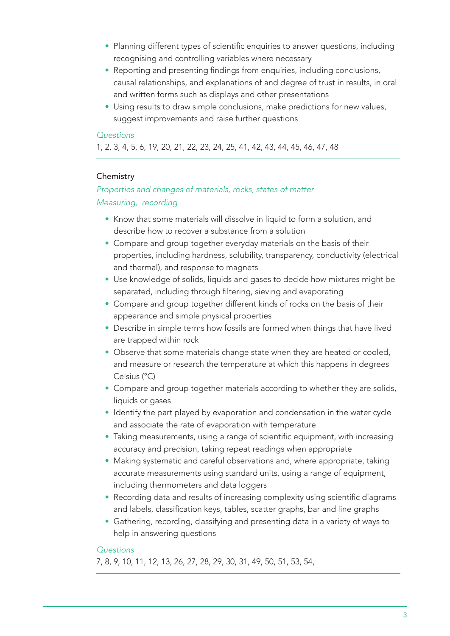- Planning different types of scientific enquiries to answer questions, including recognising and controlling variables where necessary
- Reporting and presenting findings from enquiries, including conclusions, causal relationships, and explanations of and degree of trust in results, in oral and written forms such as displays and other presentations
- Using results to draw simple conclusions, make predictions for new values, suggest improvements and raise further questions

1, 2, 3, 4, 5, 6, 19, 20, 21, 22, 23, 24, 25, 41, 42, 43, 44, 45, 46, 47, 48

#### **Chemistry**

# *Properties and changes of materials, rocks, states of matter Measuring, recording*

- Know that some materials will dissolve in liquid to form a solution, and describe how to recover a substance from a solution
- Compare and group together everyday materials on the basis of their properties, including hardness, solubility, transparency, conductivity (electrical and thermal), and response to magnets
- Use knowledge of solids, liquids and gases to decide how mixtures might be separated, including through filtering, sieving and evaporating
- Compare and group together different kinds of rocks on the basis of their appearance and simple physical properties
- Describe in simple terms how fossils are formed when things that have lived are trapped within rock
- Observe that some materials change state when they are heated or cooled, and measure or research the temperature at which this happens in degrees Celsius (°C)
- Compare and group together materials according to whether they are solids, liquids or gases
- Identify the part played by evaporation and condensation in the water cycle and associate the rate of evaporation with temperature
- Taking measurements, using a range of scientific equipment, with increasing accuracy and precision, taking repeat readings when appropriate
- Making systematic and careful observations and, where appropriate, taking accurate measurements using standard units, using a range of equipment, including thermometers and data loggers
- Recording data and results of increasing complexity using scientific diagrams and labels, classification keys, tables, scatter graphs, bar and line graphs
- Gathering, recording, classifying and presenting data in a variety of ways to help in answering questions

#### *Questions*

7, 8, 9, 10, 11, 12, 13, 26, 27, 28, 29, 30, 31, 49, 50, 51, 53, 54,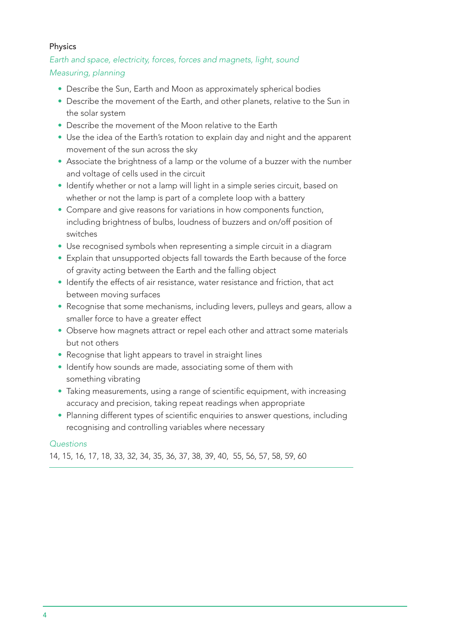#### Physics

*Earth and space, electricity, forces, forces and magnets, light, sound Measuring, planning*

- Describe the Sun, Earth and Moon as approximately spherical bodies
- Describe the movement of the Earth, and other planets, relative to the Sun in the solar system
- Describe the movement of the Moon relative to the Earth
- Use the idea of the Earth's rotation to explain day and night and the apparent movement of the sun across the sky
- Associate the brightness of a lamp or the volume of a buzzer with the number and voltage of cells used in the circuit
- Identify whether or not a lamp will light in a simple series circuit, based on whether or not the lamp is part of a complete loop with a battery
- Compare and give reasons for variations in how components function, including brightness of bulbs, loudness of buzzers and on/off position of switches
- Use recognised symbols when representing a simple circuit in a diagram
- Explain that unsupported objects fall towards the Earth because of the force of gravity acting between the Earth and the falling object
- Identify the effects of air resistance, water resistance and friction, that act between moving surfaces
- Recognise that some mechanisms, including levers, pulleys and gears, allow a smaller force to have a greater effect
- Observe how magnets attract or repel each other and attract some materials but not others
- Recognise that light appears to travel in straight lines
- Identify how sounds are made, associating some of them with something vibrating
- Taking measurements, using a range of scientific equipment, with increasing accuracy and precision, taking repeat readings when appropriate
- Planning different types of scientific enquiries to answer questions, including recognising and controlling variables where necessary

#### *Questions*

14, 15, 16, 17, 18, 33, 32, 34, 35, 36, 37, 38, 39, 40, 55, 56, 57, 58, 59, 60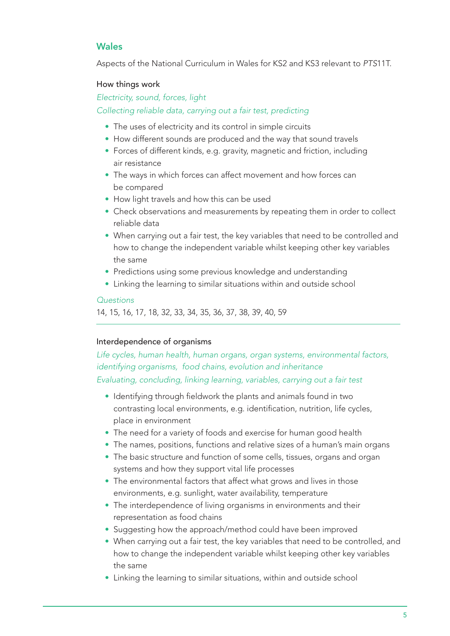## Wales

Aspects of the National Curriculum in Wales for KS2 and KS3 relevant to *PTS*11T.

#### How things work

#### *Electricity, sound, forces, light*

#### *Collecting reliable data, carrying out a fair test, predicting*

- The uses of electricity and its control in simple circuits
- How different sounds are produced and the way that sound travels
- Forces of different kinds, e.g. gravity, magnetic and friction, including air resistance
- The ways in which forces can affect movement and how forces can be compared
- How light travels and how this can be used
- Check observations and measurements by repeating them in order to collect reliable data
- When carrying out a fair test, the key variables that need to be controlled and how to change the independent variable whilst keeping other key variables the same
- Predictions using some previous knowledge and understanding
- Linking the learning to similar situations within and outside school

#### *Questions*

14, 15, 16, 17, 18, 32, 33, 34, 35, 36, 37, 38, 39, 40, 59

#### Interdependence of organisms

*Life cycles, human health, human organs, organ systems, environmental factors, identifying organisms, food chains, evolution and inheritance Evaluating, concluding, linking learning, variables, carrying out a fair test*

- Identifying through fieldwork the plants and animals found in two contrasting local environments, e.g. identification, nutrition, life cycles, place in environment
- The need for a variety of foods and exercise for human good health
- The names, positions, functions and relative sizes of a human's main organs
- The basic structure and function of some cells, tissues, organs and organ systems and how they support vital life processes
- The environmental factors that affect what grows and lives in those environments, e.g. sunlight, water availability, temperature
- The interdependence of living organisms in environments and their representation as food chains
- Suggesting how the approach/method could have been improved
- When carrying out a fair test, the key variables that need to be controlled, and how to change the independent variable whilst keeping other key variables the same
- Linking the learning to similar situations, within and outside school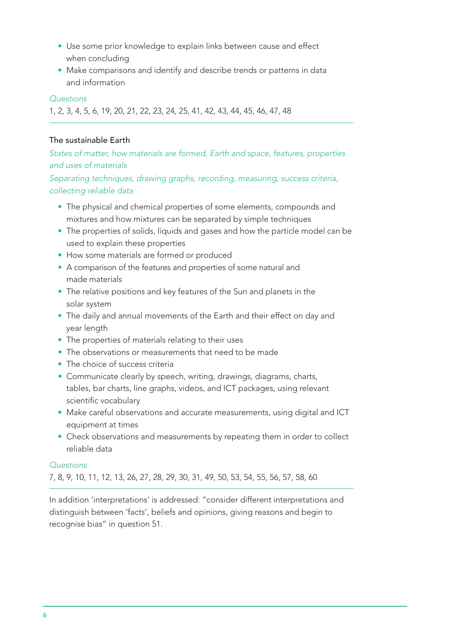- Use some prior knowledge to explain links between cause and effect when concluding
- Make comparisons and identify and describe trends or patterns in data and information

1, 2, 3, 4, 5, 6, 19, 20, 21, 22, 23, 24, 25, 41, 42, 43, 44, 45, 46, 47, 48

#### The sustainable Earth

*States of matter, how materials are formed, Earth and space, features, properties and uses of materials*

*Separating techniques, drawing graphs, recording, measuring, success criteria, collecting reliable data* 

- The physical and chemical properties of some elements, compounds and mixtures and how mixtures can be separated by simple techniques
- The properties of solids, liquids and gases and how the particle model can be used to explain these properties
- How some materials are formed or produced
- A comparison of the features and properties of some natural and made materials
- The relative positions and key features of the Sun and planets in the solar system
- The daily and annual movements of the Earth and their effect on day and year length
- The properties of materials relating to their uses
- The observations or measurements that need to be made
- The choice of success criteria
- Communicate clearly by speech, writing, drawings, diagrams, charts, tables, bar charts, line graphs, videos, and ICT packages, using relevant scientific vocabulary
- Make careful observations and accurate measurements, using digital and ICT equipment at times
- Check observations and measurements by repeating them in order to collect reliable data

#### *Questions*

7, 8, 9, 10, 11, 12, 13, 26, 27, 28, 29, 30, 31, 49, 50, 53, 54, 55, 56, 57, 58, 60

In addition 'interpretations' is addressed: "consider different interpretations and distinguish between 'facts', beliefs and opinions, giving reasons and begin to recognise bias" in question 51.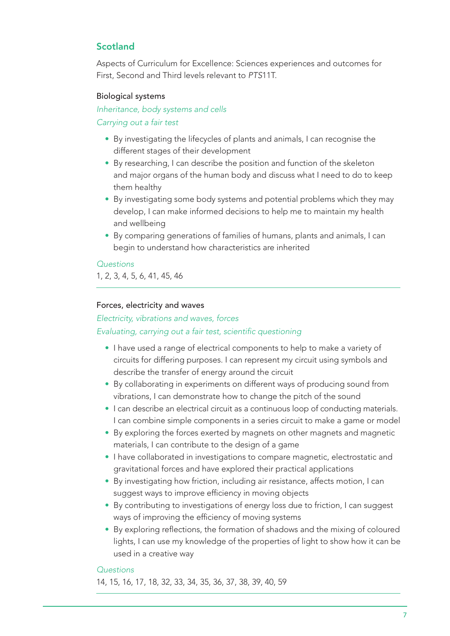# Scotland

Aspects of Curriculum for Excellence: Sciences experiences and outcomes for First, Second and Third levels relevant to *PTS*11T.

#### Biological systems

## *Inheritance, body systems and cells Carrying out a fair test*

- By investigating the lifecycles of plants and animals, I can recognise the different stages of their development
- By researching, I can describe the position and function of the skeleton and major organs of the human body and discuss what I need to do to keep them healthy
- By investigating some body systems and potential problems which they may develop, I can make informed decisions to help me to maintain my health and wellbeing
- By comparing generations of families of humans, plants and animals, I can begin to understand how characteristics are inherited

#### *Questions*

1, 2, 3, 4, 5, 6, 41, 45, 46

#### Forces, electricity and waves

*Electricity, vibrations and waves, forces*

#### Evaluating, carrying out a fair test, scientific questioning

- I have used a range of electrical components to help to make a variety of circuits for differing purposes. I can represent my circuit using symbols and describe the transfer of energy around the circuit
- By collaborating in experiments on different ways of producing sound from vibrations, I can demonstrate how to change the pitch of the sound
- I can describe an electrical circuit as a continuous loop of conducting materials. I can combine simple components in a series circuit to make a game or model
- By exploring the forces exerted by magnets on other magnets and magnetic materials, I can contribute to the design of a game
- I have collaborated in investigations to compare magnetic, electrostatic and gravitational forces and have explored their practical applications
- By investigating how friction, including air resistance, affects motion, I can suggest ways to improve efficiency in moving objects
- By contributing to investigations of energy loss due to friction, I can suggest ways of improving the efficiency of moving systems
- By exploring reflections, the formation of shadows and the mixing of coloured lights, I can use my knowledge of the properties of light to show how it can be used in a creative way

#### *Questions*

14, 15, 16, 17, 18, 32, 33, 34, 35, 36, 37, 38, 39, 40, 59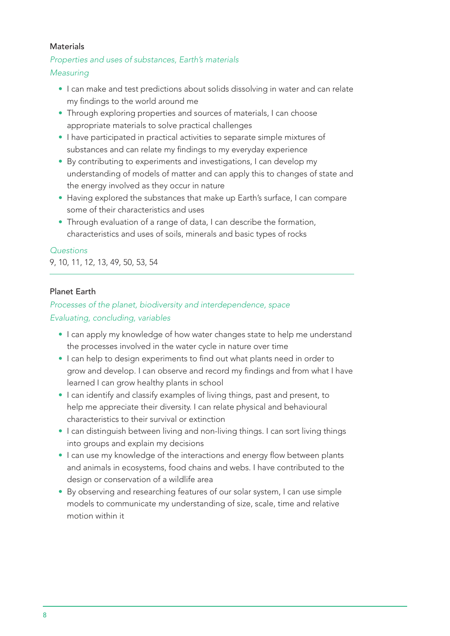#### **Materials**

#### *Properties and uses of substances, Earth's materials*

#### *Measuring*

- I can make and test predictions about solids dissolving in water and can relate my findings to the world around me
- Through exploring properties and sources of materials, I can choose appropriate materials to solve practical challenges
- I have participated in practical activities to separate simple mixtures of substances and can relate my findings to my everyday experience
- By contributing to experiments and investigations, I can develop my understanding of models of matter and can apply this to changes of state and the energy involved as they occur in nature
- Having explored the substances that make up Earth's surface, I can compare some of their characteristics and uses
- Through evaluation of a range of data, I can describe the formation, characteristics and uses of soils, minerals and basic types of rocks

#### *Questions*

9, 10, 11, 12, 13, 49, 50, 53, 54

#### Planet Earth

# *Processes of the planet, biodiversity and interdependence, space Evaluating, concluding, variables*

- I can apply my knowledge of how water changes state to help me understand the processes involved in the water cycle in nature over time
- I can help to design experiments to find out what plants need in order to grow and develop. I can observe and record my findings and from what I have learned I can grow healthy plants in school
- I can identify and classify examples of living things, past and present, to help me appreciate their diversity. I can relate physical and behavioural characteristics to their survival or extinction
- I can distinguish between living and non-living things. I can sort living things into groups and explain my decisions
- I can use my knowledge of the interactions and energy flow between plants and animals in ecosystems, food chains and webs. I have contributed to the design or conservation of a wildlife area
- By observing and researching features of our solar system, I can use simple models to communicate my understanding of size, scale, time and relative motion within it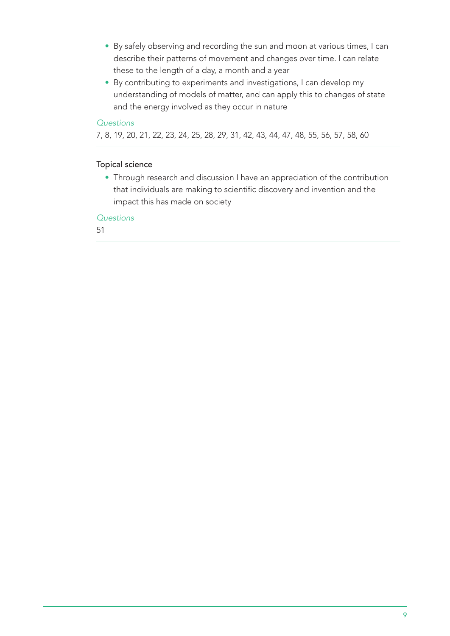- By safely observing and recording the sun and moon at various times, I can describe their patterns of movement and changes over time. I can relate these to the length of a day, a month and a year
- By contributing to experiments and investigations, I can develop my understanding of models of matter, and can apply this to changes of state and the energy involved as they occur in nature

7, 8, 19, 20, 21, 22, 23, 24, 25, 28, 29, 31, 42, 43, 44, 47, 48, 55, 56, 57, 58, 60

#### Topical science

• Through research and discussion I have an appreciation of the contribution that individuals are making to scientific discovery and invention and the impact this has made on society

#### *Questions*

51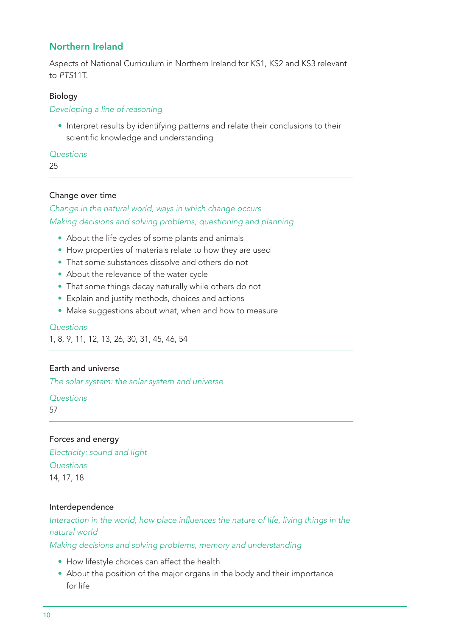# Northern Ireland

Aspects of National Curriculum in Northern Ireland for KS1, KS2 and KS3 relevant to *PTS*11T.

#### **Biology**

*Developing a line of reasoning* 

• Interpret results by identifying patterns and relate their conclusions to their scientific knowledge and understanding

#### *Questions*

25

#### Change over time

*Change in the natural world, ways in which change occurs Making decisions and solving problems, questioning and planning*

- About the life cycles of some plants and animals
- How properties of materials relate to how they are used
- That some substances dissolve and others do not
- About the relevance of the water cycle
- That some things decay naturally while others do not
- Explain and justify methods, choices and actions
- Make suggestions about what, when and how to measure

#### *Questions*

1, 8, 9, 11, 12, 13, 26, 30, 31, 45, 46, 54

#### Earth and universe

*The solar system: the solar system and universe*

*Questions* 

57

Forces and energy *Electricity: sound and light Questions*  14, 17, 18

#### Interdependence

Interaction in the world, how place influences the nature of life, living things in the *natural world*

*Making decisions and solving problems, memory and understanding*

- How lifestyle choices can affect the health
- About the position of the major organs in the body and their importance for life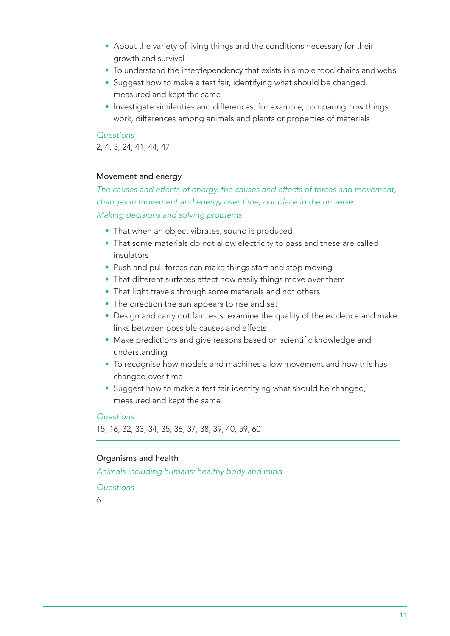- About the variety of living things and the conditions necessary for their growth and survival
- To understand the interdependency that exists in simple food chains and webs
- Suggest how to make a test fair, identifying what should be changed, measured and kept the same
- Investigate similarities and differences, for example, comparing how things work, differences among animals and plants or properties of materials

2, 4, 5, 24, 41, 44, 47

#### Movement and energy

*The causes and effects of energy, the causes and effects of forces and movement, changes in movement and energy over time, our place in the universe Making decisions and solving problems*

- That when an object vibrates, sound is produced
- That some materials do not allow electricity to pass and these are called insulators
- Push and pull forces can make things start and stop moving
- That different surfaces affect how easily things move over them
- That light travels through some materials and not others
- The direction the sun appears to rise and set
- Design and carry out fair tests, examine the quality of the evidence and make links between possible causes and effects
- Make predictions and give reasons based on scientific knowledge and understanding
- To recognise how models and machines allow movement and how this has changed over time
- Suggest how to make a test fair identifying what should be changed, measured and kept the same

#### *Questions*

15, 16, 32, 33, 34, 35, 36, 37, 38, 39, 40, 59, 60

#### Organisms and health

*Animals including humans: healthy body and mind* 

#### *Questions*

6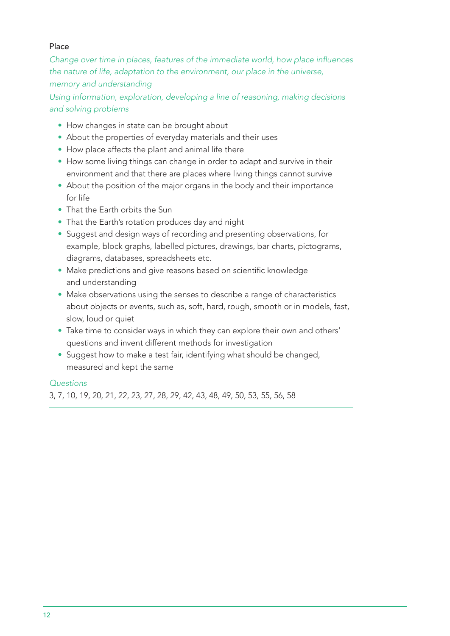#### Place

Change over time in places, features of the immediate world, how place influences *the nature of life, adaptation to the environment, our place in the universe, memory and understanding* 

*Using information, exploration, developing a line of reasoning, making decisions and solving problems*

- How changes in state can be brought about
- About the properties of everyday materials and their uses
- How place affects the plant and animal life there
- How some living things can change in order to adapt and survive in their environment and that there are places where living things cannot survive
- About the position of the major organs in the body and their importance for life
- That the Earth orbits the Sun
- That the Earth's rotation produces day and night
- Suggest and design ways of recording and presenting observations, for example, block graphs, labelled pictures, drawings, bar charts, pictograms, diagrams, databases, spreadsheets etc.
- Make predictions and give reasons based on scientific knowledge and understanding
- Make observations using the senses to describe a range of characteristics about objects or events, such as, soft, hard, rough, smooth or in models, fast, slow, loud or quiet
- Take time to consider ways in which they can explore their own and others' questions and invent different methods for investigation
- Suggest how to make a test fair, identifying what should be changed, measured and kept the same

## *Questions*

3, 7, 10, 19, 20, 21, 22, 23, 27, 28, 29, 42, 43, 48, 49, 50, 53, 55, 56, 58